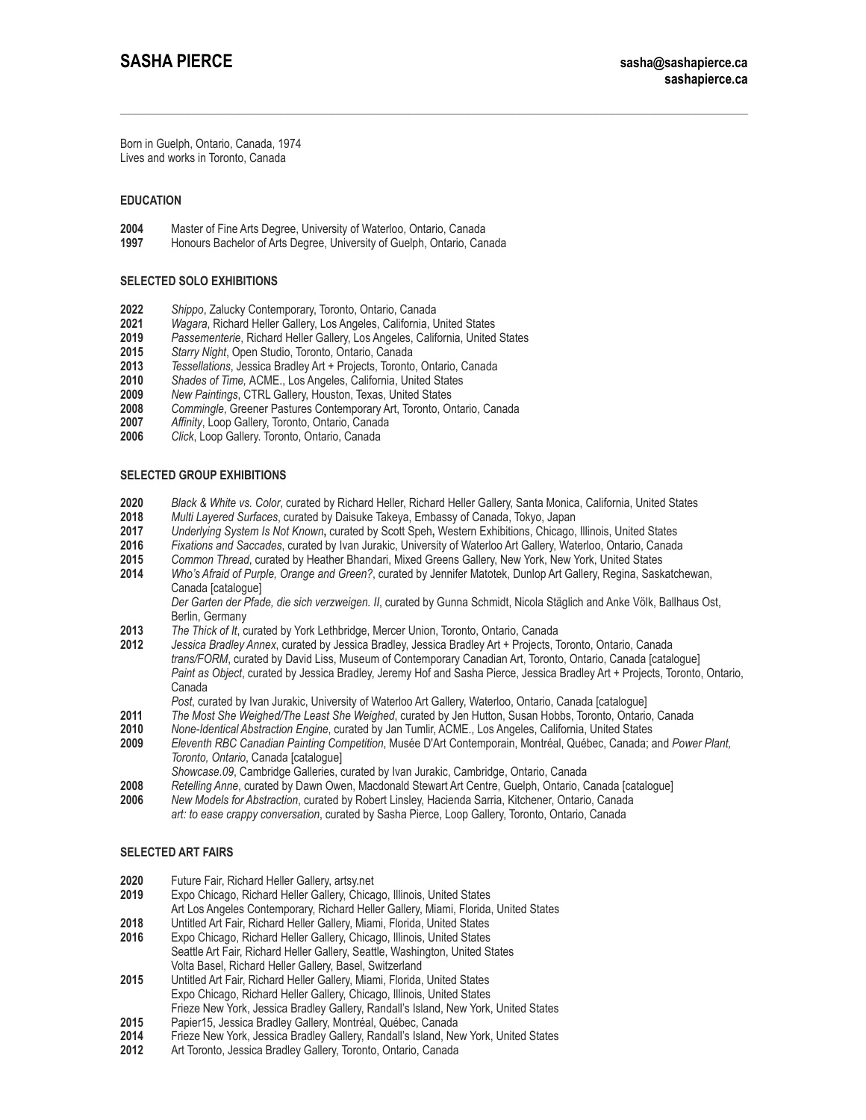Born in Guelph, Ontario, Canada, 1974 Lives and works in Toronto, Canada

# **EDUCATION**

**2004** [Master of Fine Arts Degree](http://www.finearts.uwaterloo.ca/), [University of Waterloo](http://www.finearts.uwaterloo.ca/), Ontario, Canada

**1997** [Honours Bachelor of Arts Degree](http://www.uoguelph.ca/sofam), [University of Guelph,](http://www.uoguelph.ca/sofam) Ontario, Canada

### **SELECTED SOLO EXHIBITIONS**

- **2022** *Shippo*, Zalucky Contemporary, Toronto, Ontario, Canada
- **2021** *Wagara*, Richard Heller Gallery, Los Angeles, California, United States
- **2019** *Passementerie*, Richard Heller Gallery, Los Angeles, California, United States
- **2015** *Starry Night*, Open Studio, Toronto, Ontario, Canada
- **2013** *Tessellations*, Jessica Bradley Art + Projects, Toronto, Ontario, Canada
- **2010** *Shades of Time,* ACME., Los Angeles, California, United States
- **2009** *New Paintings*, CTRL Gallery, Houston, Texas, United States
- **2008** *Commingle*, Greener Pastures Contemporary Art, Toronto, Ontario, Canada
- **2007** *Affinity*, Loop Gallery, Toronto, Ontario, Canada
- **2006** *Click*, Loop Gallery. Toronto, Ontario, Canada

# **SELECTED GROUP EXHIBITIONS**

- **2020** *Black & White vs. Color*, curated by Richard Heller, Richard Heller Gallery, Santa Monica, California, United States
- **2018** *Multi Layered Surfaces*, curated by Daisuke Takeya, Embassy of Canada, Tokyo, Japan
- **2017** *Underlying System Is Not Known***,** curated by Scott Speh**,** Western Exhibitions, Chicago, Illinois, United States
- **2016** *Fixations and Saccades*, curated by Ivan Jurakic, University of Waterloo Art Gallery, Waterloo, Ontario, Canada
- 
- **2015** *Common Thread*, curated by Heather Bhandari, Mixed Greens Gallery, New York, New York, United States **2014** *Who's Afraid of Purple, Orange and Green?*, curated by Jennifer Matotek, Dunlop Art Gallery, Regina, Saskatchewan, Canada [catalogue]

*Der Garten der Pfade, die sich verzweigen. II*, curated by Gunna Schmidt, Nicola Stäglich and Anke Völk, Ballhaus Ost, Berlin, Germany

- **2013** *The Thick of It*, curated by York Lethbridge, Mercer Union, Toronto, Ontario, Canada
- **2012** *Jessica Bradley Annex*, curated by Jessica Bradley, Jessica Bradley Art + Projects, Toronto, Ontario, Canada *trans/FORM*, curated by David Liss, Museum of Contemporary Canadian Art, Toronto, Ontario, Canada [catalogue] *Paint as Object*, curated by Jessica Bradley, Jeremy Hof and Sasha Pierce, Jessica Bradley Art + Projects, Toronto, Ontario, Canada
- *Post*, curated by Ivan Jurakic, University of Waterloo Art Gallery, Waterloo, Ontario, Canada [catalogue]
- **2011** *The Most She Weighed/The Least She Weighed*, curated by Jen Hutton, Susan Hobbs, Toronto, Ontario, Canada
- **2010** *None-Identical Abstraction Engine*, curated by Jan Tumlir, ACME., Los Angeles, California, United States
- **2009** *Eleventh RBC Canadian Painting Competition*, Musée D'Art Contemporain, Montréal, Québec, Canada; and *Power Plant, Toronto, Ontario*, Canada [catalogue]
- 
- *Showcase.09*, Cambridge Galleries, curated by Ivan Jurakic, Cambridge, Ontario, Canada **[2008](http://abstraction.uwaterloo.ca/)** *Retelling Anne*, curated by Dawn Owen, Macdonald Stewart Art Centre, Guelph, Ontario, Canada [catalogue]
- **2006** *New Models for Abstraction*, curated by Robert Linsley, Hacienda Sarria, Kitchener, Ontario, Canada  *art: to ease crappy conversation*, curated by Sasha Pierce, Loop Gallery, Toronto, Ontario, Canada

### **SELECTED ART FAIRS**

- **2020** Future Fair, Richard Heller Gallery, artsy.net
- **2019** Expo Chicago, Richard Heller Gallery, Chicago, Illinois, United States
- Art Los Angeles Contemporary, Richard Heller Gallery, Miami, Florida, United States
- **2018** Untitled Art Fair, Richard Heller Gallery, Miami, Florida, United States
- **2016** Expo Chicago, Richard Heller Gallery, Chicago, Illinois, United States
- Seattle Art Fair, Richard Heller Gallery, Seattle, Washington, United States Volta Basel, Richard Heller Gallery, Basel, Switzerland<br>2015 Untitled Art Fair, Richard Heller Gallery, Miami, Florida.
- **2015** Untitled Art Fair, Richard Heller Gallery, Miami, Florida, United States Expo Chicago, Richard Heller Gallery, Chicago, Illinois, United States
- Frieze New York, Jessica Bradley Gallery, Randall's Island, New York, United States
- **2015** Papier15, Jessica Bradley Gallery, Montréal, Québec, Canada
- **2014** Frieze New York, Jessica Bradley Gallery, Randall's Island, New York, United States
- **2012** Art Toronto, Jessica Bradley Gallery, Toronto, Ontario, Canada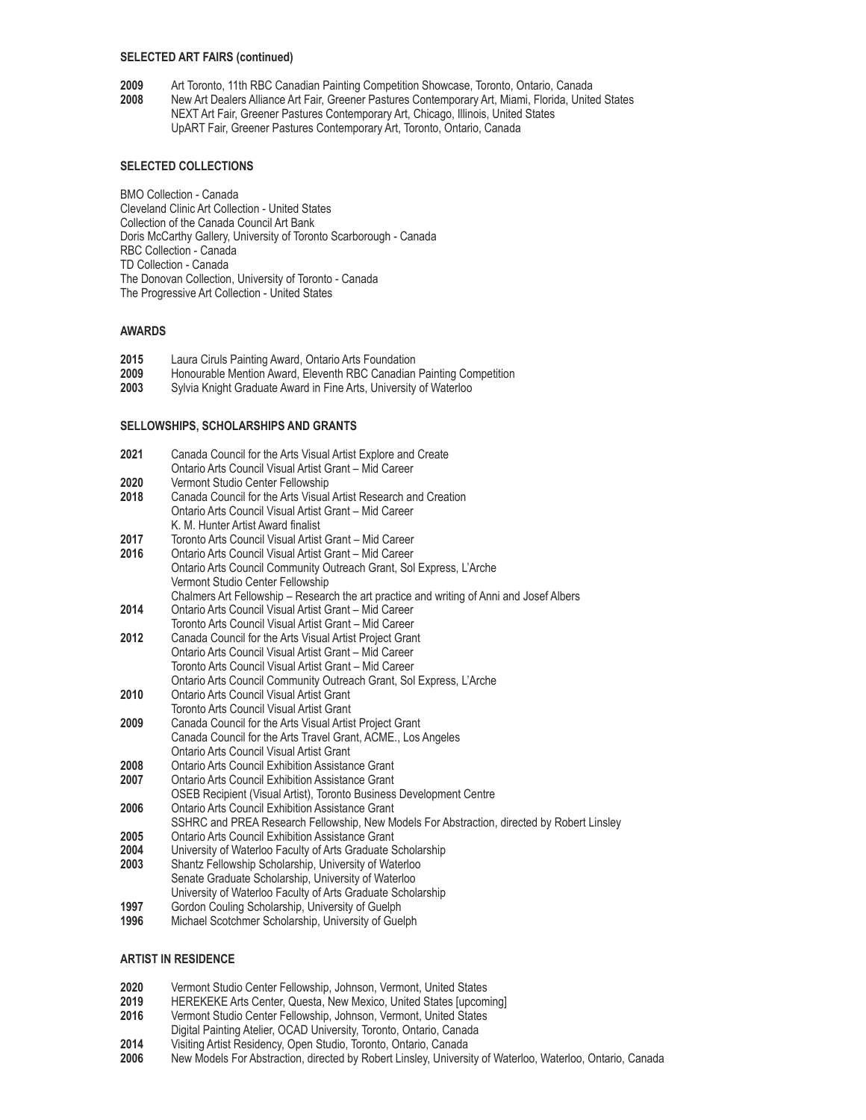### **SELECTED ART FAIRS (continued)**

- **[2009](http://abstraction.uwaterloo.ca/)** Art Toronto, 11th RBC Canadian Painting Competition Showcase, Toronto, Ontario, Canada
- **[2008](http://abstraction.uwaterloo.ca/)** New Art Dealers Alliance Art Fair, Greener Pastures Contemporary Art, Miami, Florida, United States NEXT Art Fair, Greener Pastures Contemporary Art, Chicago, Illinois, United States UpART Fair, Greener Pastures Contemporary Art, Toronto, Ontario, Canada

# **SELECTED COLLECTIONS**

BMO Collection - Canada Cleveland Clinic Art Collection - United States Collection of the Canada Council Art Bank Doris McCarthy Gallery, University of Toronto Scarborough - Canada RBC Collection - Canada TD Collection - Canada The Donovan Collection, University of Toronto - Canada The Progressive Art Collection - United States

### **AWARDS**

- **2015** Laura Ciruls Painting Award, Ontario Arts Foundation
- **2009** Honourable Mention Award, Eleventh RBC Canadian Painting Competition
- **2003** Sylvia Knight Graduate Award in Fine Arts, University of Waterloo

### **SELLOWSHIPS, SCHOLARSHIPS AND GRANTS**

| 2021 | Canada Council for the Arts Visual Artist Explore and Create                               |
|------|--------------------------------------------------------------------------------------------|
|      | Ontario Arts Council Visual Artist Grant - Mid Career                                      |
| 2020 | Vermont Studio Center Fellowship                                                           |
| 2018 | Canada Council for the Arts Visual Artist Research and Creation                            |
|      | Ontario Arts Council Visual Artist Grant - Mid Career                                      |
|      | K. M. Hunter Artist Award finalist                                                         |
| 2017 | Toronto Arts Council Visual Artist Grant - Mid Career                                      |
| 2016 | Ontario Arts Council Visual Artist Grant - Mid Career                                      |
|      | Ontario Arts Council Community Outreach Grant, Sol Express, L'Arche                        |
|      | Vermont Studio Center Fellowship                                                           |
|      | Chalmers Art Fellowship - Research the art practice and writing of Anni and Josef Albers   |
| 2014 | Ontario Arts Council Visual Artist Grant - Mid Career                                      |
|      | Toronto Arts Council Visual Artist Grant – Mid Career                                      |
| 2012 | Canada Council for the Arts Visual Artist Project Grant                                    |
|      | Ontario Arts Council Visual Artist Grant - Mid Career                                      |
|      | Toronto Arts Council Visual Artist Grant – Mid Career                                      |
|      | Ontario Arts Council Community Outreach Grant, Sol Express, L'Arche                        |
| 2010 | Ontario Arts Council Visual Artist Grant                                                   |
|      | Toronto Arts Council Visual Artist Grant                                                   |
| 2009 | Canada Council for the Arts Visual Artist Project Grant                                    |
|      | Canada Council for the Arts Travel Grant, ACME., Los Angeles                               |
|      | Ontario Arts Council Visual Artist Grant                                                   |
| 2008 | Ontario Arts Council Exhibition Assistance Grant                                           |
| 2007 | <b>Ontario Arts Council Exhibition Assistance Grant</b>                                    |
|      | OSEB Recipient (Visual Artist), Toronto Business Development Centre                        |
| 2006 | <b>Ontario Arts Council Exhibition Assistance Grant</b>                                    |
|      | SSHRC and PREA Research Fellowship, New Models For Abstraction, directed by Robert Linsley |
| ንስሰ5 | Optorio Arte Council Exhibition Accidence Cropt                                            |

- **2005** [Ontario Arts Council Exhibition Assistance Grant](http://www.arts.on.ca/)
- **2004** University of Waterloo Faculty of Arts Graduate Scholarship
- **2003** Shantz Fellowship Scholarship, University of Waterloo Senate Graduate Scholarship, University of Waterloo University of Waterloo Faculty of Arts Graduate Scholarship
- **1997** Gordon Couling Scholarship, University of Guelph
- **1996** Michael Scotchmer Scholarship, University of Guelph

### **ARTIST IN RESIDENCE**

- **2020** Vermont Studio Center Fellowship, Johnson, Vermont, United States
- **2019** HEREKEKE Arts Center, Questa, New Mexico, United States [upcoming]
- **2016** Vermont Studio Center Fellowship, Johnson, Vermont, United States
- Digital Painting Atelier, OCAD University, Toronto, Ontario, Canada
- **2014** Visiting Artist Residency, Open Studio, Toronto, Ontario, Canada
- **2006** New Models For Abstraction, directed by Robert Linsley, University of Waterloo, Waterloo, Ontario, Canada